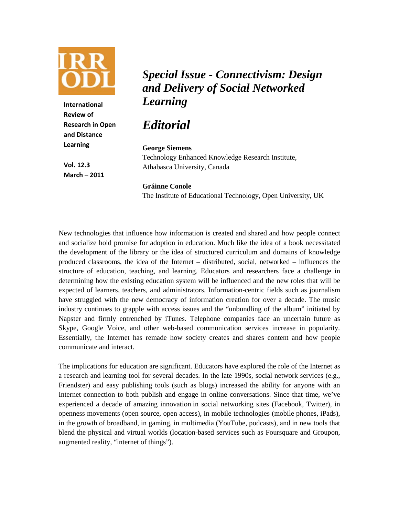

**International Review of Research in Open and Distance Learning** 

## *Special Issue - Connectivism: Design and Delivery of Social Networked Learning*

## *Editorial*

**Vol. 12.3 March – 2011**

## **George Siemens** Technology Enhanced Knowledge Research Institute, Athabasca University, Canada

## **Gráinne Conole**

The Institute of Educational Technology, Open University, UK

New technologies that influence how information is created and shared and how people connect and socialize hold promise for adoption in education. Much like the idea of a book necessitated the development of the library or the idea of structured curriculum and domains of knowledge produced classrooms, the idea of the Internet – distributed, social, networked – influences the structure of education, teaching, and learning. Educators and researchers face a challenge in determining how the existing education system will be influenced and the new roles that will be expected of learners, teachers, and administrators. Information-centric fields such as journalism have struggled with the new democracy of information creation for over a decade. The music industry continues to grapple with access issues and the "unbundling of the album" initiated by Napster and firmly entrenched by iTunes. Telephone companies face an uncertain future as Skype, Google Voice, and other web-based communication services increase in popularity. Essentially, the Internet has remade how society creates and shares content and how people communicate and interact.

The implications for education are significant. Educators have explored the role of the Internet as a research and learning tool for several decades. In the late 1990s, social network services (e.g., Friendster) and easy publishing tools (such as blogs) increased the ability for anyone with an Internet connection to both publish and engage in online conversations. Since that time, we've experienced a decade of amazing innovation in social networking sites (Facebook, Twitter), in openness movements (open source, open access), in mobile technologies (mobile phones, iPads), in the growth of broadband, in gaming, in multimedia (YouTube, podcasts), and in new tools that blend the physical and virtual worlds (location-based services such as Foursquare and Groupon, augmented reality, "internet of things").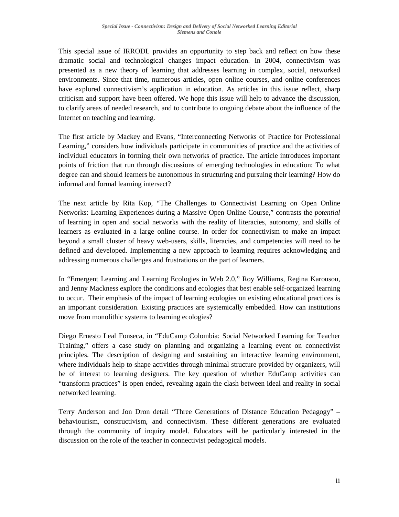This special issue of IRRODL provides an opportunity to step back and reflect on how these dramatic social and technological changes impact education. In 2004, connectivism was presented as a new theory of learning that addresses learning in complex, social, networked environments. Since that time, numerous articles, open online courses, and online conferences have explored connectivism's application in education. As articles in this issue reflect, sharp criticism and support have been offered. We hope this issue will help to advance the discussion, to clarify areas of needed research, and to contribute to ongoing debate about the influence of the Internet on teaching and learning.

The first article by Mackey and Evans, "Interconnecting Networks of Practice for Professional Learning," considers how individuals participate in communities of practice and the activities of individual educators in forming their own networks of practice. The article introduces important points of friction that run through discussions of emerging technologies in education: To what degree can and should learners be autonomous in structuring and pursuing their learning? How do informal and formal learning intersect?

The next article by Rita Kop, "The Challenges to Connectivist Learning on Open Online Networks: Learning Experiences during a Massive Open Online Course," contrasts the *potential* of learning in open and social networks with the reality of literacies, autonomy, and skills of learners as evaluated in a large online course. In order for connectivism to make an impact beyond a small cluster of heavy web-users, skills, literacies, and competencies will need to be defined and developed. Implementing a new approach to learning requires acknowledging and addressing numerous challenges and frustrations on the part of learners.

In "Emergent Learning and Learning Ecologies in Web 2.0," Roy Williams, Regina Karousou, and Jenny Mackness explore the conditions and ecologies that best enable self-organized learning to occur. Their emphasis of the impact of learning ecologies on existing educational practices is an important consideration. Existing practices are systemically embedded. How can institutions move from monolithic systems to learning ecologies?

Diego Ernesto Leal Fonseca, in "EduCamp Colombia: Social Networked Learning for Teacher Training," offers a case study on planning and organizing a learning event on connectivist principles. The description of designing and sustaining an interactive learning environment, where individuals help to shape activities through minimal structure provided by organizers, will be of interest to learning designers. The key question of whether EduCamp activities can "transform practices" is open ended, revealing again the clash between ideal and reality in social networked learning.

Terry Anderson and Jon Dron detail "Three Generations of Distance Education Pedagogy" – behaviourism, constructivism, and connectivism. These different generations are evaluated through the community of inquiry model. Educators will be particularly interested in the discussion on the role of the teacher in connectivist pedagogical models.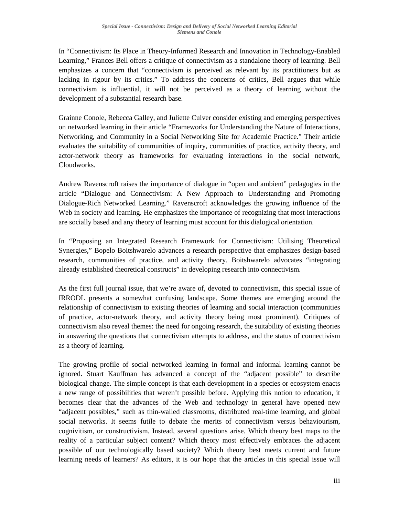In "Connectivism: Its Place in Theory-Informed Research and Innovation in Technology-Enabled Learning," Frances Bell offers a critique of connectivism as a standalone theory of learning. Bell emphasizes a concern that "connectivism is perceived as relevant by its practitioners but as lacking in rigour by its critics." To address the concerns of critics, Bell argues that while connectivism is influential, it will not be perceived as a theory of learning without the development of a substantial research base.

Grainne Conole, Rebecca Galley, and Juliette Culver consider existing and emerging perspectives on networked learning in their article "Frameworks for Understanding the Nature of Interactions, Networking, and Community in a Social Networking Site for Academic Practice." Their article evaluates the suitability of communities of inquiry, communities of practice, activity theory, and actor-network theory as frameworks for evaluating interactions in the social network, Cloudworks.

Andrew Ravenscroft raises the importance of dialogue in "open and ambient" pedagogies in the article "Dialogue and Connectivism: A New Approach to Understanding and Promoting Dialogue-Rich Networked Learning." Ravenscroft acknowledges the growing influence of the Web in society and learning. He emphasizes the importance of recognizing that most interactions are socially based and any theory of learning must account for this dialogical orientation.

In "Proposing an Integrated Research Framework for Connectivism: Utilising Theoretical Synergies," Bopelo Boitshwarelo advances a research perspective that emphasizes design-based research, communities of practice, and activity theory. Boitshwarelo advocates "integrating already established theoretical constructs" in developing research into connectivism.

As the first full journal issue, that we're aware of, devoted to connectivism, this special issue of IRRODL presents a somewhat confusing landscape. Some themes are emerging around the relationship of connectivism to existing theories of learning and social interaction (communities of practice, actor-network theory, and activity theory being most prominent). Critiques of connectivism also reveal themes: the need for ongoing research, the suitability of existing theories in answering the questions that connectivism attempts to address, and the status of connectivism as a theory of learning.

The growing profile of social networked learning in formal and informal learning cannot be ignored. Stuart Kauffman has advanced a concept of the "adjacent possible" to describe biological change. The simple concept is that each development in a species or ecosystem enacts a new range of possibilities that weren't possible before. Applying this notion to education, it becomes clear that the advances of the Web and technology in general have opened new "adjacent possibles," such as thin-walled classrooms, distributed real-time learning, and global social networks. It seems futile to debate the merits of connectivism versus behaviourism, cognivitism, or constructivism. Instead, several questions arise. Which theory best maps to the reality of a particular subject content? Which theory most effectively embraces the adjacent possible of our technologically based society? Which theory best meets current and future learning needs of learners? As editors, it is our hope that the articles in this special issue will